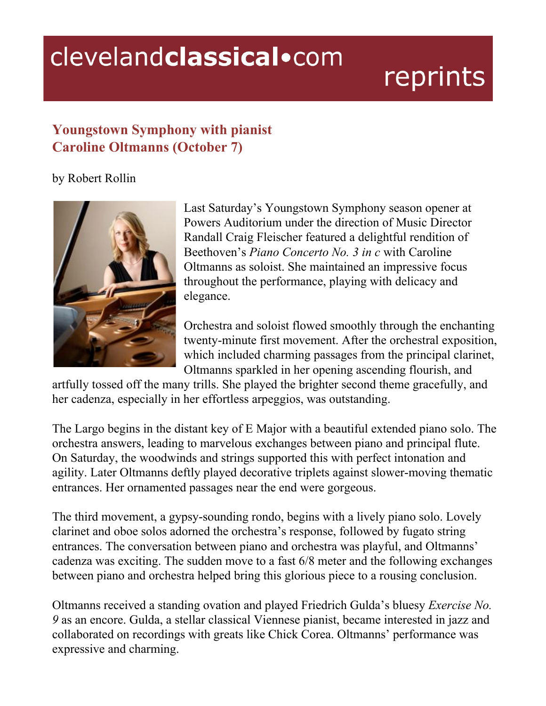## clevelandclassical.com

## reprints

## **Youngstown Symphony with pianist Caroline Oltmanns (October 7)**

## by Robert Rollin



Last Saturday's Youngstown Symphony season opener at Powers Auditorium under the direction of Music Director Randall Craig Fleischer featured a delightful rendition of Beethoven's *Piano Concerto No. 3 in c* with Caroline Oltmanns as soloist. She maintained an impressive focus throughout the performance, playing with delicacy and elegance.

Orchestra and soloist flowed smoothly through the enchanting twenty-minute first movement. After the orchestral exposition, which included charming passages from the principal clarinet, Oltmanns sparkled in her opening ascending flourish, and

artfully tossed off the many trills. She played the brighter second theme gracefully, and her cadenza, especially in her effortless arpeggios, was outstanding.

The Largo begins in the distant key of E Major with a beautiful extended piano solo. The orchestra answers, leading to marvelous exchanges between piano and principal flute. On Saturday, the woodwinds and strings supported this with perfect intonation and agility. Later Oltmanns deftly played decorative triplets against slower-moving thematic entrances. Her ornamented passages near the end were gorgeous.

The third movement, a gypsy-sounding rondo, begins with a lively piano solo. Lovely clarinet and oboe solos adorned the orchestra's response, followed by fugato string entrances. The conversation between piano and orchestra was playful, and Oltmanns' cadenza was exciting. The sudden move to a fast 6/8 meter and the following exchanges between piano and orchestra helped bring this glorious piece to a rousing conclusion.

Oltmanns received a standing ovation and played Friedrich Gulda's bluesy *Exercise No. 9* as an encore. Gulda, a stellar classical Viennese pianist, became interested in jazz and collaborated on recordings with greats like Chick Corea. Oltmanns' performance was expressive and charming.